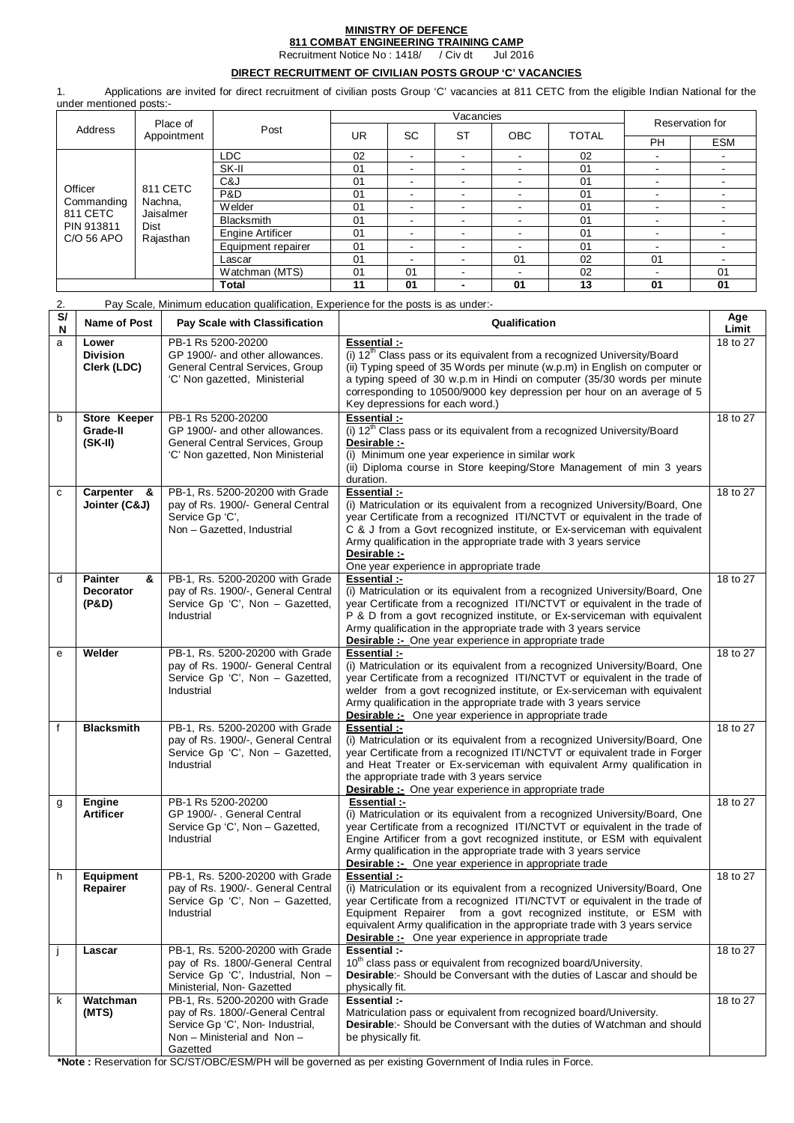# **MINISTRY OF DEFENCE 811 COMBAT ENGINEERING TRAINING CAMP**

Recruitment Notice No : 1418/ / Civ dt

## **DIRECT RECRUITMENT OF CIVILIAN POSTS GROUP 'C' VACANCIES**

1. Applications are invited for direct recruitment of civilian posts Group 'C' vacancies at 811 CETC from the eligible Indian National for the under mentioned posts:-

| Place of<br>Address<br>Appointment |                                  |                    |    |           | Reservation for          |                |              |                          |    |
|------------------------------------|----------------------------------|--------------------|----|-----------|--------------------------|----------------|--------------|--------------------------|----|
|                                    |                                  | Post               | UR | <b>SC</b> | <b>ST</b>                | <b>OBC</b>     | <b>TOTAL</b> |                          |    |
|                                    |                                  |                    |    |           |                          |                | <b>PH</b>    | <b>ESM</b>               |    |
|                                    |                                  | LDC                | 02 |           |                          |                | 02           | $\overline{\phantom{a}}$ |    |
|                                    |                                  | SK-II              | 01 |           | -                        |                | 01           |                          |    |
|                                    | 811 CETC<br>Nachna,<br>Jaisalmer | C&J                | 01 |           | -                        |                | 01           | ۰.                       |    |
| Officer                            |                                  | P&D                | 01 |           | ۰.                       | $\sim$         | 01           | -                        |    |
| Commanding<br>811 CETC             |                                  | Welder             | 01 |           |                          |                | 01           |                          |    |
| PIN 913811                         |                                  | <b>Blacksmith</b>  | 01 |           | $\blacksquare$           | $\blacksquare$ | 01           |                          |    |
| C/O 56 APO                         | <b>Dist</b><br>Rajasthan         | Engine Artificer   | 01 |           |                          |                | 01           |                          |    |
|                                    |                                  | Equipment repairer | 01 |           | $\blacksquare$           | ۰.             | 01           |                          |    |
|                                    |                                  | Lascar             | 01 |           | -                        | 01             | 02           | 01                       |    |
|                                    |                                  | Watchman (MTS)     | 01 | 01        |                          |                | 02           | $\blacksquare$           | 01 |
|                                    |                                  | Total              | 11 | 01        | $\overline{\phantom{0}}$ | 01             | 13           | 01                       | 01 |

| 2.                           |                                                  | Pay Scale, Minimum education qualification, Experience for the posts is as under:-                                                                 |                                                                                                                                                                                                                                                                                                                                                                                              |              |
|------------------------------|--------------------------------------------------|----------------------------------------------------------------------------------------------------------------------------------------------------|----------------------------------------------------------------------------------------------------------------------------------------------------------------------------------------------------------------------------------------------------------------------------------------------------------------------------------------------------------------------------------------------|--------------|
| $\overline{\mathbf{s}}$<br>N | Name of Post                                     | Pay Scale with Classification                                                                                                                      | Qualification                                                                                                                                                                                                                                                                                                                                                                                | Age<br>Limit |
| a                            | Lower<br><b>Division</b><br>Clerk (LDC)          | PB-1 Rs 5200-20200<br>GP 1900/- and other allowances.<br>General Central Services, Group<br>'C' Non gazetted, Ministerial                          | Essential :-<br>(i) 12 <sup>th</sup> Class pass or its equivalent from a recognized University/Board<br>(ii) Typing speed of 35 Words per minute (w.p.m) in English on computer or<br>a typing speed of 30 w.p.m in Hindi on computer (35/30 words per minute<br>corresponding to 10500/9000 key depression per hour on an average of 5<br>Key depressions for each word.)                   | 18 to 27     |
| b                            | Store Keeper<br>Grade-II<br>$(SK-II)$            | PB-1 Rs 5200-20200<br>GP 1900/- and other allowances.<br>General Central Services, Group<br>'C' Non gazetted, Non Ministerial                      | Essential :-<br>(i) 12 <sup>th</sup> Class pass or its equivalent from a recognized University/Board<br>Desirable :-<br>(i) Minimum one year experience in similar work<br>(ii) Diploma course in Store keeping/Store Management of min 3 years<br>duration.                                                                                                                                 | 18 to 27     |
| с                            | Carpenter<br>- &<br>Jointer (C&J)                | PB-1, Rs. 5200-20200 with Grade<br>pay of Rs. 1900/- General Central<br>Service Gp 'C',<br>Non - Gazetted, Industrial                              | Essential :-<br>(i) Matriculation or its equivalent from a recognized University/Board, One<br>year Certificate from a recognized ITI/NCTVT or equivalent in the trade of<br>C & J from a Govt recognized institute, or Ex-serviceman with equivalent<br>Army qualification in the appropriate trade with 3 years service<br>Desirable :-<br>One year experience in appropriate trade        | 18 to 27     |
| d                            | <b>Painter</b><br>&<br><b>Decorator</b><br>(P&D) | PB-1, Rs. 5200-20200 with Grade<br>pay of Rs. 1900/-, General Central<br>Service Gp 'C', Non - Gazetted,<br>Industrial                             | Essential :-<br>(i) Matriculation or its equivalent from a recognized University/Board, One<br>year Certificate from a recognized ITI/NCTVT or equivalent in the trade of<br>P & D from a govt recognized institute, or Ex-serviceman with equivalent<br>Army qualification in the appropriate trade with 3 years service<br><b>Desirable :-</b> One year experience in appropriate trade    | 18 to 27     |
| е                            | Welder                                           | PB-1, Rs. 5200-20200 with Grade<br>pay of Rs. 1900/- General Central<br>Service Gp 'C', Non - Gazetted,<br>Industrial                              | Essential :-<br>(i) Matriculation or its equivalent from a recognized University/Board, One<br>year Certificate from a recognized ITI/NCTVT or equivalent in the trade of<br>welder from a govt recognized institute, or Ex-serviceman with equivalent<br>Army qualification in the appropriate trade with 3 years service<br><b>Desirable :-</b> One year experience in appropriate trade   | 18 to 27     |
| $\mathbf{f}$                 | <b>Blacksmith</b>                                | PB-1, Rs. 5200-20200 with Grade<br>pay of Rs. 1900/-, General Central<br>Service Gp 'C', Non - Gazetted,<br>Industrial                             | Essential :-<br>(i) Matriculation or its equivalent from a recognized University/Board, One<br>year Certificate from a recognized ITI/NCTVT or equivalent trade in Forger<br>and Heat Treater or Ex-serviceman with equivalent Army qualification in<br>the appropriate trade with 3 years service<br><b>Desirable :-</b> One year experience in appropriate trade                           | 18 to 27     |
| g                            | Engine<br><b>Artificer</b>                       | PB-1 Rs 5200-20200<br>GP 1900/- . General Central<br>Service Gp 'C', Non - Gazetted,<br>Industrial                                                 | Essential :-<br>(i) Matriculation or its equivalent from a recognized University/Board, One<br>year Certificate from a recognized ITI/NCTVT or equivalent in the trade of<br>Engine Artificer from a govt recognized institute, or ESM with equivalent<br>Army qualification in the appropriate trade with 3 years service<br><b>Desirable :-</b> One year experience in appropriate trade   | 18 to 27     |
| h                            | <b>Equipment</b><br>Repairer                     | PB-1, Rs. 5200-20200 with Grade<br>pay of Rs. 1900/-. General Central<br>Service Gp 'C', Non - Gazetted,<br>Industrial                             | Essential :-<br>(i) Matriculation or its equivalent from a recognized University/Board, One<br>year Certificate from a recognized ITI/NCTVT or equivalent in the trade of<br>Equipment Repairer from a govt recognized institute, or ESM with<br>equivalent Army qualification in the appropriate trade with 3 years service<br><b>Desirable :-</b> One year experience in appropriate trade | 18 to 27     |
| j                            | Lascar                                           | PB-1, Rs. 5200-20200 with Grade<br>pay of Rs. 1800/-General Central<br>Service Gp 'C', Industrial, Non -<br>Ministerial, Non- Gazetted             | Essential :-<br>10 <sup>th</sup> class pass or equivalent from recognized board/University.<br><b>Desirable:-</b> Should be Conversant with the duties of Lascar and should be<br>physically fit.                                                                                                                                                                                            | 18 to 27     |
| k                            | Watchman<br>(MTS)                                | PB-1, Rs. 5200-20200 with Grade<br>pay of Rs. 1800/-General Central<br>Service Gp 'C', Non- Industrial,<br>Non - Ministerial and Non -<br>Gazetted | Essential :-<br>Matriculation pass or equivalent from recognized board/University.<br><b>Desirable:-</b> Should be Conversant with the duties of Watchman and should<br>be physically fit.                                                                                                                                                                                                   | 18 to 27     |

**\*Note :** Reservation for SC/ST/OBC/ESM/PH will be governed as per existing Government of India rules in Force.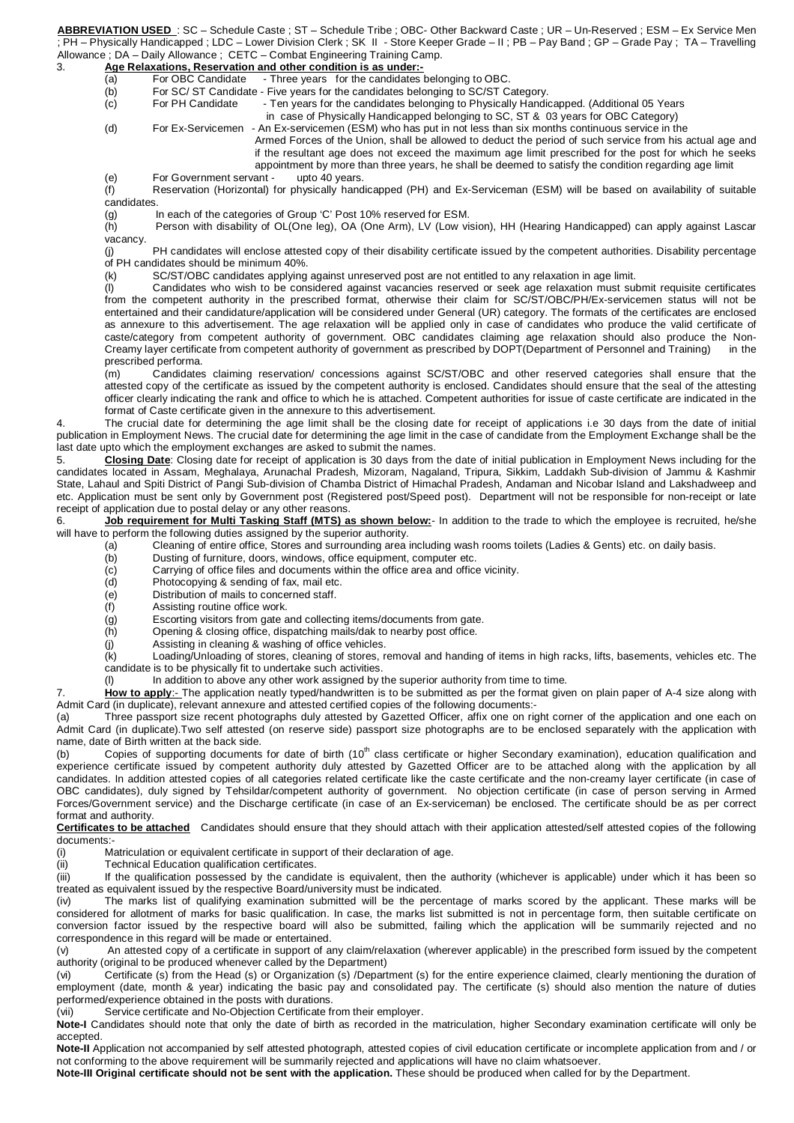**ABBREVIATION USED** : SC – Schedule Caste ; ST – Schedule Tribe ; OBC- Other Backward Caste ; UR – Un-Reserved ; ESM – Ex Service Men ; PH – Physically Handicapped ; LDC – Lower Division Clerk ; SK II - Store Keeper Grade – II ; PB – Pay Band ; GP – Grade Pay ; TA – Travelling

# Allowance ; DA – Daily Allowance ; CETC – Combat Engineering Training Camp.<br>3. **Age Relaxations, Reservation and other condition is as under:-**

- **Age Relaxations, Reservation and other condition is as under:-**<br>(a) For OBC Candidate Three years for the candidates (a) For OBC Candidate - Three years for the candidates belonging to OBC.
- (b) For SC/ ST Candidate Five years for the candidates belonging to SC/ST Category.
- (c) For PH Candidate Ten years for the candidates belonging to Physically Handicapped. (Additional 05 Years
	- in case of Physically Handicapped belonging to SC, ST & 03 years for OBC Category)

(d) For Ex-Servicemen - An Ex-servicemen (ESM) who has put in not less than six months continuous service in the

Armed Forces of the Union, shall be allowed to deduct the period of such service from his actual age and if the resultant age does not exceed the maximum age limit prescribed for the post for which he seeks appointment by more than three years, he shall be deemed to satisfy the condition regarding age limit

(e) For Government servant - upto 40 years.

(f) Reservation (Horizontal) for physically handicapped (PH) and Ex-Serviceman (ESM) will be based on availability of suitable candidates.

(g) In each of the categories of Group 'C' Post 10% reserved for ESM.

(h) Person with disability of OL(One leg), OA (One Arm), LV (Low vision), HH (Hearing Handicapped) can apply against Lascar vacancy.

(j) PH candidates will enclose attested copy of their disability certificate issued by the competent authorities. Disability percentage of PH candidates should be minimum 40%.

(k) SC/ST/OBC candidates applying against unreserved post are not entitled to any relaxation in age limit.

(l) Candidates who wish to be considered against vacancies reserved or seek age relaxation must submit requisite certificates from the competent authority in the prescribed format, otherwise their claim for SC/ST/OBC/PH/Ex-servicemen status will not be entertained and their candidature/application will be considered under General (UR) category. The formats of the certificates are enclosed as annexure to this advertisement. The age relaxation will be applied only in case of candidates who produce the valid certificate of caste/category from competent authority of government. OBC candidates claiming age relaxation should also produce the Non-Creamy layer certificate from competent authority of government as prescribed by DOPT(Department of Personnel and Training) in the prescribed performa.

(m) Candidates claiming reservation/ concessions against SC/ST/OBC and other reserved categories shall ensure that the attested copy of the certificate as issued by the competent authority is enclosed. Candidates should ensure that the seal of the attesting officer clearly indicating the rank and office to which he is attached. Competent authorities for issue of caste certificate are indicated in the format of Caste certificate given in the annexure to this advertisement.

The crucial date for determining the age limit shall be the closing date for receipt of applications i.e 30 days from the date of initial publication in Employment News. The crucial date for determining the age limit in the case of candidate from the Employment Exchange shall be the last date upto which the employment exchanges are asked to submit the names.

5. **Closing Date**: Closing date for receipt of application is 30 days from the date of initial publication in Employment News including for the candidates located in Assam, Meghalaya, Arunachal Pradesh, Mizoram, Nagaland, Tripura, Sikkim, Laddakh Sub-division of Jammu & Kashmir State, Lahaul and Spiti District of Pangi Sub-division of Chamba District of Himachal Pradesh, Andaman and Nicobar Island and Lakshadweep and etc. Application must be sent only by Government post (Registered post/Speed post). Department will not be responsible for non-receipt or late receipt of application due to postal delay or any other reasons.

6. **Job requirement for Multi Tasking Staff (MTS) as shown below:**- In addition to the trade to which the employee is recruited, he/she will have to perform the following duties assigned by the superior authority.

- (a) Cleaning of entire office, Stores and surrounding area including wash rooms toilets (Ladies & Gents) etc. on daily basis.
- (b) Dusting of furniture, doors, windows, office equipment, computer etc.
- (c) Carrying of office files and documents within the office area and office vicinity.
- 
- (d) Photocopying & sending of fax, mail etc.<br>(e) Distribution of mails to concerned staff. (e) Distribution of mails to concerned staff.<br>
(f) Assisting routine office work.
- Assisting routine office work.
- (g) Escorting visitors from gate and collecting items/documents from gate.
- (h) Opening & closing office, dispatching mails/dak to nearby post office.
- (j) Assisting in cleaning & washing of office vehicles.

(k) Loading/Unloading of stores, cleaning of stores, removal and handing of items in high racks, lifts, basements, vehicles etc. The candidate is to be physically fit to undertake such activities.

(l) In addition to above any other work assigned by the superior authority from time to time.

How to apply:- The application neatly typed/handwritten is to be submitted as per the format given on plain paper of A-4 size along with Admit Card (in duplicate), relevant annexure and attested certified copies of the following documents:-

Three passport size recent photographs duly attested by Gazetted Officer, affix one on right corner of the application and one each on Admit Card (in duplicate).Two self attested (on reserve side) passport size photographs are to be enclosed separately with the application with name, date of Birth written at the back side.

(b) Copies of supporting documents for date of birth (10<sup>th</sup> class certificate or higher Secondary examination), education qualification and experience certificate issued by competent authority duly attested by Gazetted Officer are to be attached along with the application by all candidates. In addition attested copies of all categories related certificate like the caste certificate and the non-creamy layer certificate (in case of OBC candidates), duly signed by Tehsildar/competent authority of government. No objection certificate (in case of person serving in Armed Forces/Government service) and the Discharge certificate (in case of an Ex-serviceman) be enclosed. The certificate should be as per correct format and authority.

**Certificates to be attached** Candidates should ensure that they should attach with their application attested/self attested copies of the following documents:-

(i) Matriculation or equivalent certificate in support of their declaration of age.

(ii) Technical Education qualification certificates.

(iii) If the qualification possessed by the candidate is equivalent, then the authority (whichever is applicable) under which it has been so treated as equivalent issued by the respective Board/university must be indicated.

(iv) The marks list of qualifying examination submitted will be the percentage of marks scored by the applicant. These marks will be considered for allotment of marks for basic qualification. In case, the marks list submitted is not in percentage form, then suitable certificate on conversion factor issued by the respective board will also be submitted, failing which the application will be summarily rejected and no correspondence in this regard will be made or entertained.

(v) An attested copy of a certificate in support of any claim/relaxation (wherever applicable) in the prescribed form issued by the competent authority (original to be produced whenever called by the Department)

(vi) Certificate (s) from the Head (s) or Organization (s) /Department (s) for the entire experience claimed, clearly mentioning the duration of employment (date, month & year) indicating the basic pay and consolidated pay. The certificate (s) should also mention the nature of duties performed/experience obtained in the posts with durations.

(vii) Service certificate and No-Objection Certificate from their employer.

**Note-I** Candidates should note that only the date of birth as recorded in the matriculation, higher Secondary examination certificate will only be accepted.

**Note-II** Application not accompanied by self attested photograph, attested copies of civil education certificate or incomplete application from and / or not conforming to the above requirement will be summarily rejected and applications will have no claim whatsoever.

**Note-III Original certificate should not be sent with the application.** These should be produced when called for by the Department.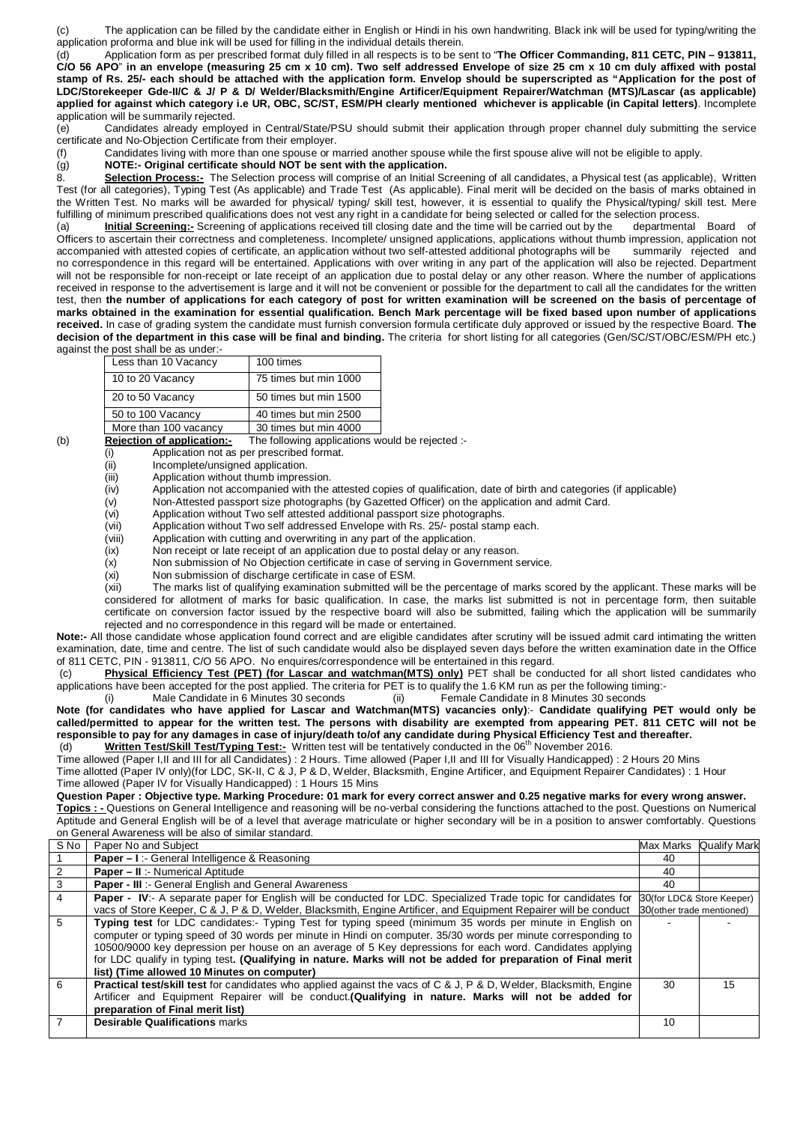(c) The application can be filled by the candidate either in English or Hindi in his own handwriting. Black ink will be used for typing/writing the application proforma and blue ink will be used for filling in the individual details therein.

(d) Application form as per prescribed format duly filled in all respects is to be sent to "**The Officer Commanding, 811 CETC, PIN – 913811, C/O 56 APO**" **in an envelope (measuring 25 cm x 10 cm). Two self addressed Envelope of size 25 cm x 10 cm duly affixed with postal stamp of Rs. 25/- each should be attached with the application form. Envelop should be superscripted as "Application for the post of LDC/Storekeeper Gde-II/C & J/ P & D/ Welder/Blacksmith/Engine Artificer/Equipment Repairer/Watchman (MTS)/Lascar (as applicable) applied for against which category i.e UR, OBC, SC/ST, ESM/PH clearly mentioned whichever is applicable (in Capital letters)**. Incomplete application will be summarily rejected.

(e) Candidates already employed in Central/State/PSU should submit their application through proper channel duly submitting the service certificate and No-Objection Certificate from their employer.

(f) Candidates living with more than one spouse or married another spouse while the first spouse alive will not be eligible to apply.

(g) **NOTE:- Original certificate should NOT be sent with the application.**

8. **Selection Process:-** The Selection process will comprise of an Initial Screening of all candidates, a Physical test (as applicable), Written Test (for all categories), Typing Test (As applicable) and Trade Test (As applicable). Final merit will be decided on the basis of marks obtained in the Written Test. No marks will be awarded for physical/ typing/ skill test, however, it is essential to qualify the Physical/typing/ skill test. Mere fulfilling of minimum prescribed qualifications does not vest any right in a candidate for being selected or called for the selection process.

(a) **Initial Screening:-** Screening of applications received till closing date and the time will be carried out by the departmental Board of Officers to ascertain their correctness and completeness. Incomplete/ unsigned applications, applications without thumb impression, application not accompanied with attested copies of certificate, an application without tw accompanied with attested copies of certificate, an application without two self-attested additional photographs will be no correspondence in this regard will be entertained. Applications with over writing in any part of the application will also be rejected. Department will not be responsible for non-receipt or late receipt of an application due to postal delay or any other reason. Where the number of applications received in response to the advertisement is large and it will not be convenient or possible for the department to call all the candidates for the written test, then **the number of applications for each category of post for written examination will be screened on the basis of percentage of marks obtained in the examination for essential qualification. Bench Mark percentage will be fixed based upon number of applications received.** In case of grading system the candidate must furnish conversion formula certificate duly approved or issued by the respective Board. **The decision of the department in this case will be final and binding.** The criteria for short listing for all categories (Gen/SC/ST/OBC/ESM/PH etc.) against the post shall be as under:-

| Less than 10 Vacancy  | 100 times             |
|-----------------------|-----------------------|
| 10 to 20 Vacancy      | 75 times but min 1000 |
| 20 to 50 Vacancy      | 50 times but min 1500 |
| 50 to 100 Vacancy     | 40 times but min 2500 |
| More than 100 vacancy | 30 times but min 4000 |

(b) **Rejection of application:-** The following applications would be rejected :-

- (i) Application not as per prescribed format.
- (ii) Incomplete/unsigned application.
- (iii) Application without thumb impression.<br>(iv) Application not accompanied with the
- $(iv)$  Application not accompanied with the attested copies of qualification, date of birth and categories (if applicable) (v) Non-Attested passport size photographs (by Gazetted Officer) on the application and admit Card.
	- Non-Attested passport size photographs (by Gazetted Officer) on the application and admit Card.

(vi) Application without Two self attested additional passport size photographs.

(vii) Application without Two self addressed Envelope with Rs. 25/- postal stamp each.<br>(viii) Application with cutting and overwriting in any part of the application.

(viii) Application with cutting and overwriting in any part of the application.<br>(ix) Non receipt or late receipt of an application due to postal delay or any

Non receipt or late receipt of an application due to postal delay or any reason.

(x) Non submission of No Objection certificate in case of serving in Government service.<br>(xi) Non submission of discharge certificate in case of ESM.

Non submission of discharge certificate in case of ESM.

(xii) The marks list of qualifying examination submitted will be the percentage of marks scored by the applicant. These marks will be considered for allotment of marks for basic qualification. In case, the marks list submitted is not in percentage form, then suitable certificate on conversion factor issued by the respective board will also be submitted, failing which the application will be summarily rejected and no correspondence in this regard will be made or entertained.

**Note:-** All those candidate whose application found correct and are eligible candidates after scrutiny will be issued admit card intimating the written examination, date, time and centre. The list of such candidate would also be displayed seven days before the written examination date in the Office of 811 CETC, PIN - 913811, C/O 56 APO. No enquires/correspondence will be entertained in this regard.

(c) **Physical Efficiency Test (PET) (for Lascar and watchman(MTS) only)** PET shall be conducted for all short listed candidates who applications have been accepted for the post applied. The criteria for PET is to qualify the 1.6 KM run as per the following timing:-

(i) Male Candidate in 6 Minutes 30 seconds (ii) Female Candidate in 8 Minutes 30 seconds

**Note (for candidates who have applied for Lascar and Watchman(MTS) vacancies only)**:- **Candidate qualifying PET would only be called/permitted to appear for the written test. The persons with disability are exempted from appearing PET. 811 CETC will not be**  responsible to pay for any damages in case of injury/death to/of any candidate during Physical Efficiency Test and thereafter.<br>(d) Written Test/Skill Test/Typing Test:- Written test will be tentatively conducted in the 06<sup></sup>

Time allowed (Paper I,II and III for all Candidates) : 2 Hours. Time allowed (Paper I,II and III for Visually Handicapped) : 2 Hours 20 Mins Time allotted (Paper IV only)(for LDC, SK-II, C & J, P & D, Welder, Blacksmith, Engine Artificer, and Equipment Repairer Candidates) : 1 Hour Time allowed (Paper IV for Visually Handicapped) : 1 Hours 15 Mins

**Question Paper : Objective type. Marking Procedure: 01 mark for every correct answer and 0.25 negative marks for every wrong answer.**

**Topics : -** Questions on General Intelligence and reasoning will be no-verbal considering the functions attached to the post. Questions on Numerical Aptitude and General English will be of a level that average matriculate or higher secondary will be in a position to answer comfortably. Questions on General Awareness will be also of similar standard.

| S No           | Paper No and Subject                                                                                                     |                           | Max Marks Qualify Mark    |
|----------------|--------------------------------------------------------------------------------------------------------------------------|---------------------------|---------------------------|
|                | <b>Paper - I:</b> General Intelligence & Reasoning                                                                       | 40                        |                           |
| 2              | <b>Paper - II :- Numerical Aptitude</b>                                                                                  | 40                        |                           |
| $\overline{3}$ | <b>Paper - III</b> :- General English and General Awareness                                                              | 40                        |                           |
| $\overline{4}$ | <b>Paper - IV:-</b> A separate paper for English will be conducted for LDC. Specialized Trade topic for candidates for   |                           | 30(for LDC& Store Keeper) |
|                | vacs of Store Keeper, C & J, P & D, Welder, Blacksmith, Engine Artificer, and Equipment Repairer will be conduct         | 30(other trade mentioned) |                           |
| 5              | Typing test for LDC candidates:- Typing Test for typing speed (minimum 35 words per minute in English on                 |                           |                           |
|                | computer or typing speed of 30 words per minute in Hindi on computer. 35/30 words per minute corresponding to            |                           |                           |
|                | 10500/9000 key depression per house on an average of 5 Key depressions for each word. Candidates applying                |                           |                           |
|                | for LDC qualify in typing test. (Qualifying in nature. Marks will not be added for preparation of Final merit            |                           |                           |
|                | list) (Time allowed 10 Minutes on computer)                                                                              |                           |                           |
| 6              | <b>Practical test/skill test</b> for candidates who applied against the vacs of C & J, P & D, Welder, Blacksmith, Engine | 30                        | 15                        |
|                | Artificer and Equipment Repairer will be conduct. (Qualifying in nature. Marks will not be added for                     |                           |                           |
|                | preparation of Final merit list)                                                                                         |                           |                           |
|                | <b>Desirable Qualifications marks</b>                                                                                    | 10                        |                           |
|                |                                                                                                                          |                           |                           |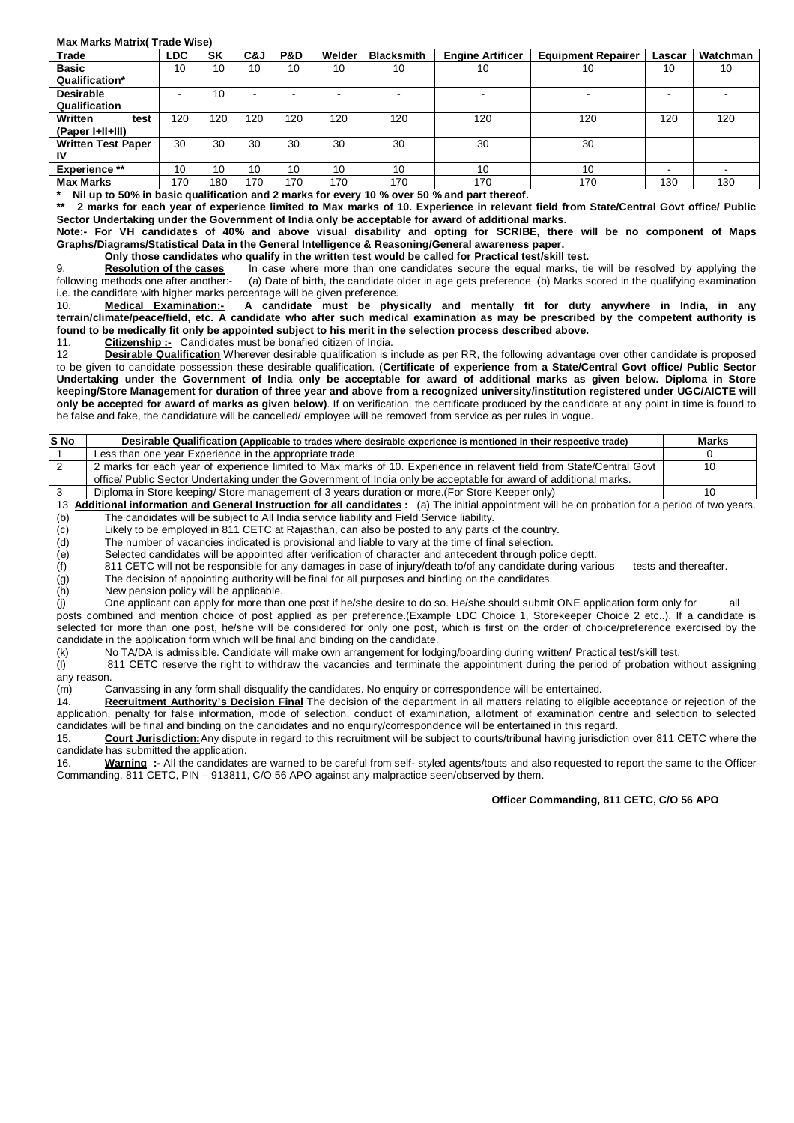## **Max Marks Matrix( Trade Wise)**

| Trade                     | <b>LDC</b> | <b>SK</b> | C&J | P&D                      | Welder | <b>Blacksmith</b> | <b>Engine Artificer</b>  | <b>Equipment Repairer</b> | Lascar | Watchman |
|---------------------------|------------|-----------|-----|--------------------------|--------|-------------------|--------------------------|---------------------------|--------|----------|
| <b>Basic</b>              | 10         | 10        | 10  | 10                       | 10     | 10                | 10                       | 10                        | 10     | 10       |
| Qualification*            |            |           |     |                          |        |                   |                          |                           |        |          |
| <b>Desirable</b>          |            | 10        | -   | $\overline{\phantom{a}}$ | $\sim$ |                   | $\overline{\phantom{0}}$ | -                         | -      |          |
| Qualification             |            |           |     |                          |        |                   |                          |                           |        |          |
| Written<br>test           | 120        | 120       | 120 | 120                      | 120    | 120               | 120                      | 120                       | 120    | 120      |
| (Paper I+II+III)          |            |           |     |                          |        |                   |                          |                           |        |          |
| <b>Written Test Paper</b> | 30         | 30        | 30  | 30                       | 30     | 30                | 30                       | 30                        |        |          |
| ιv                        |            |           |     |                          |        |                   |                          |                           |        |          |
| <b>Experience **</b>      | 10         | 10        | 10  | 10                       | 10     | 10                | 10                       | 10                        | -      |          |
| <b>Max Marks</b>          | 170        | 180       | 170 | 170                      | 170    | 170               | 170                      | 170                       | 130    | 130      |

**\* Nil up to 50% in basic qualification and 2 marks for every 10 % over 50 % and part thereof.**

**\*\* 2 marks for each year of experience limited to Max marks of 10. Experience in relevant field from State/Central Govt office/ Public Sector Undertaking under the Government of India only be acceptable for award of additional marks.**

**Note:- For VH candidates of 40% and above visual disability and opting for SCRIBE, there will be no component of Maps Graphs/Diagrams/Statistical Data in the General Intelligence & Reasoning/General awareness paper.**

**Only those candidates who qualify in the written test would be called for Practical test/skill test.<br>Resolution of the cases lin case where more than one candidates secure the equal marks, tie** In case where more than one candidates secure the equal marks, tie will be resolved by applying the following methods one after another:- (a) Date of birth, the candidate older in age gets preference (b) Marks scored in the qualifying examination i.e. the candidate with higher marks percentage will be given preference.

10. **Medical Examination:- A candidate must be physically and mentally fit for duty anywhere in India, in any terrain/climate/peace/field, etc. A candidate who after such medical examination as may be prescribed by the competent authority is found to be medically fit only be appointed subject to his merit in the selection process described above.**

11. **Citizenship :-** Candidates must be bonafied citizen of India.

12 **Desirable Qualification** Wherever desirable qualification is include as per RR, the following advantage over other candidate is proposed to be given to candidate possession these desirable qualification. (**Certificate of experience from a State/Central Govt office/ Public Sector Undertaking under the Government of India only be acceptable for award of additional marks as given below. Diploma in Store keeping/Store Management for duration of three year and above from a recognized university/institution registered under UGC/AICTE will only be accepted for award of marks as given below)**. If on verification, the certificate produced by the candidate at any point in time is found to be false and fake, the candidature will be cancelled/ employee will be removed from service as per rules in vogue.

| S No | Desirable Qualification (Applicable to trades where desirable experience is mentioned in their respective trade)     | <b>Marks</b> |
|------|----------------------------------------------------------------------------------------------------------------------|--------------|
|      | Less than one vear Experience in the appropriate trade                                                               |              |
|      | 2 marks for each year of experience limited to Max marks of 10. Experience in relavent field from State/Central Govt | 10           |
|      | office/ Public Sector Undertaking under the Government of India only be acceptable for award of additional marks.    |              |
|      | Diploma in Store keeping/ Store management of 3 years duration or more. (For Store Keeper only)                      | 10           |

13 **Additional information and General Instruction for all candidates :** (a) The initial appointment will be on probation for a period of two years. The candidates will be subject to All India service liability and Field Service liability.

(c) Likely to be employed in 811 CETC at Rajasthan, can also be posted to any parts of the country.

Selected candidates will be appointed after verification of character and antecedent through police deptt.

(d) The number of vacancies indicated is provisional and liable to vary at the time of final selection.<br>
(e) Selected candidates will be appointed after verification of character and antecedent through politics<br>
(f) 811 CE 811 CETC will not be responsible for any damages in case of injury/death to/of any candidate during various tests and thereafter.

(g) The decision of appointing authority will be final for all purposes and binding on the candidates.<br>(h) New pension policy will be applicable.

(h) New pension policy will be applicable.<br>
(i) One applicant can apply for more than One applicant can apply for more than one post if he/she desire to do so. He/she should submit ONE application form only for all posts combined and mention choice of post applied as per preference.(Example LDC Choice 1, Storekeeper Choice 2 etc..). If a candidate is selected for more than one post, he/she will be considered for only one post, which is first on the order of choice/preference exercised by the candidate in the application form which will be final and binding on the candidate.

(k) No TA/DA is admissible. Candidate will make own arrangement for lodging/boarding during written/ Practical test/skill test.<br>(I) 811 CETC reserve the right to withdraw the vacancies and terminate the appointment during 811 CETC reserve the right to withdraw the vacancies and terminate the appointment during the period of probation without assigning any reason.

(m) Canvassing in any form shall disqualify the candidates. No enquiry or correspondence will be entertained.

14. **Recruitment Authority's Decision Final** The decision of the department in all matters relating to eligible acceptance or rejection of the application, penalty for false information, mode of selection, conduct of examination, allotment of examination centre and selection to selected candidates will be final and binding on the candidates and no enquiry/correspondence will be entertained in this regard.<br>15. **Court Jurisdiction:** Any dispute in regard to this recruitment will be subject to courts/tribuna

15. **Court Jurisdiction:**Any dispute in regard to this recruitment will be subject to courts/tribunal having jurisdiction over 811 CETC where the candidate has submitted the application.

16. **Warning :-** All the candidates are warned to be careful from self- styled agents/touts and also requested to report the same to the Officer Commanding, 811 CETC, PIN – 913811, C/O 56 APO against any malpractice seen/observed by them.

## **Officer Commanding, 811 CETC, C/O 56 APO**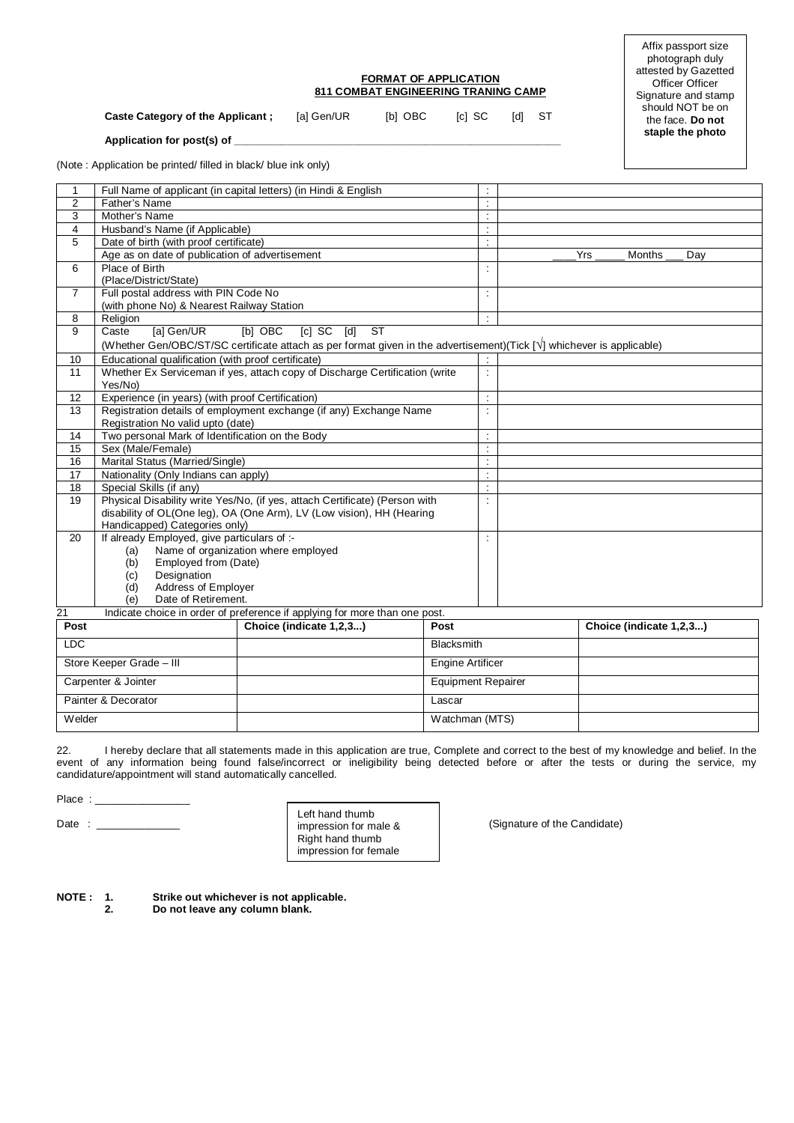## **FORMAT OF APPLICATION 811 COMBAT ENGINEERING TRANING CAMP**

**Caste Category of the Applicant ;** [a] Gen/UR [b] OBC [c] SC [d] ST

Affix passport size photograph duly attested by Gazetted Officer Officer Signature and stamp should NOT be on the face. **Do not staple the photo**

Application for post(s) of

(Note : Application be printed/ filled in black/ blue ink only)

| 1              |                                                    | Full Name of applicant (in capital letters) (in Hindi & English                                                       |                           | $\ddot{\phantom{a}}$ |     |                         |  |
|----------------|----------------------------------------------------|-----------------------------------------------------------------------------------------------------------------------|---------------------------|----------------------|-----|-------------------------|--|
| $\overline{2}$ | Father's Name                                      |                                                                                                                       |                           | $\ddot{\phantom{a}}$ |     |                         |  |
| 3              | Mother's Name                                      |                                                                                                                       |                           | $\ddot{\phantom{a}}$ |     |                         |  |
| $\overline{4}$ | Husband's Name (if Applicable)                     |                                                                                                                       |                           | $\dot{\gamma}$       |     |                         |  |
| 5              | Date of birth (with proof certificate)             |                                                                                                                       |                           | Ξ                    |     |                         |  |
|                | Age as on date of publication of advertisement     |                                                                                                                       |                           |                      | Yrs | Months<br>Day           |  |
| 6              | Place of Birth                                     |                                                                                                                       |                           | ċ                    |     |                         |  |
|                | (Place/District/State)                             |                                                                                                                       |                           |                      |     |                         |  |
| $\overline{7}$ | Full postal address with PIN Code No               |                                                                                                                       |                           | ÷                    |     |                         |  |
|                | (with phone No) & Nearest Railway Station          |                                                                                                                       |                           |                      |     |                         |  |
| 8              | Religion                                           |                                                                                                                       |                           | $\ddot{\cdot}$       |     |                         |  |
| 9              | [a] Gen/UR<br>Caste                                | $\overline{\text{ST}}$<br>[b] OBC<br>$[c]$ SC<br>$\lceil d \rceil$                                                    |                           |                      |     |                         |  |
|                |                                                    | (Whether Gen/OBC/ST/SC certificate attach as per format given in the advertisement)(Tick [V] whichever is applicable) |                           |                      |     |                         |  |
| 10             | Educational qualification (with proof certificate) |                                                                                                                       |                           | $\ddot{\phantom{a}}$ |     |                         |  |
| 11             |                                                    | Whether Ex Serviceman if yes, attach copy of Discharge Certification (write                                           |                           | $\dot{\gamma}$       |     |                         |  |
|                | Yes/No)                                            |                                                                                                                       |                           |                      |     |                         |  |
| 12             | Experience (in years) (with proof Certification)   |                                                                                                                       |                           | $\ddot{\phantom{a}}$ |     |                         |  |
| 13             |                                                    | Registration details of employment exchange (if any) Exchange Name                                                    |                           | $\ddot{\phantom{a}}$ |     |                         |  |
|                | Registration No valid upto (date)                  |                                                                                                                       |                           |                      |     |                         |  |
| 14             | Two personal Mark of Identification on the Body    |                                                                                                                       |                           | $\ddot{\phantom{a}}$ |     |                         |  |
| 15             | Sex (Male/Female)                                  |                                                                                                                       |                           | $\ddot{\phantom{a}}$ |     |                         |  |
| 16             | Marital Status (Married/Single)                    |                                                                                                                       |                           | $\ddot{\phantom{a}}$ |     |                         |  |
| 17             | Nationality (Only Indians can apply)               |                                                                                                                       |                           | $\ddot{\phantom{a}}$ |     |                         |  |
| 18             | Special Skills (if any)                            |                                                                                                                       |                           | $\dot{\mathbb{I}}$   |     |                         |  |
| 19             |                                                    | Physical Disability write Yes/No, (if yes, attach Certificate) (Person with                                           |                           | $\ddot{\phantom{a}}$ |     |                         |  |
|                |                                                    | disability of OL(One leg), OA (One Arm), LV (Low vision), HH (Hearing                                                 |                           |                      |     |                         |  |
|                | Handicapped) Categories only)                      |                                                                                                                       |                           |                      |     |                         |  |
| 20             | If already Employed, give particulars of :-        |                                                                                                                       |                           | $\dot{\mathbb{I}}$   |     |                         |  |
|                | (a)                                                | Name of organization where employed                                                                                   |                           |                      |     |                         |  |
|                | Employed from (Date)<br>(b)                        |                                                                                                                       |                           |                      |     |                         |  |
|                | Designation<br>(c)                                 |                                                                                                                       |                           |                      |     |                         |  |
|                | Address of Employer<br>(d)                         |                                                                                                                       |                           |                      |     |                         |  |
|                | Date of Retirement.<br>(e)                         |                                                                                                                       |                           |                      |     |                         |  |
| 21             |                                                    | Indicate choice in order of preference if applying for more than one post.                                            |                           |                      |     |                         |  |
| Post           |                                                    | Choice (indicate 1,2,3)                                                                                               | Post                      |                      |     | Choice (indicate 1,2,3) |  |
| <b>LDC</b>     |                                                    |                                                                                                                       | <b>Blacksmith</b>         |                      |     |                         |  |
|                | Store Keeper Grade - III                           |                                                                                                                       | <b>Engine Artificer</b>   |                      |     |                         |  |
|                | Carpenter & Jointer                                |                                                                                                                       | <b>Equipment Repairer</b> |                      |     |                         |  |
|                | Painter & Decorator                                |                                                                                                                       | Lascar                    |                      |     |                         |  |
| Welder         |                                                    |                                                                                                                       | Watchman (MTS)            |                      |     |                         |  |
|                |                                                    |                                                                                                                       |                           |                      |     |                         |  |

22. I hereby declare that all statements made in this application are true, Complete and correct to the best of my knowledge and belief. In the event of any information being found false/incorrect or ineligibility being detected before or after the tests or during the service, my candidature/appointment will stand automatically cancelled.

Place  $:$   $\_\_$ 

Date : \_\_\_\_\_\_\_\_\_\_\_\_\_\_ (Signature of the Candidate) Left hand thumb impression for male & Right hand thumb impression for female

**NOTE : 1. Strike out whichever is not applicable.** 

**2. Do not leave any column blank.**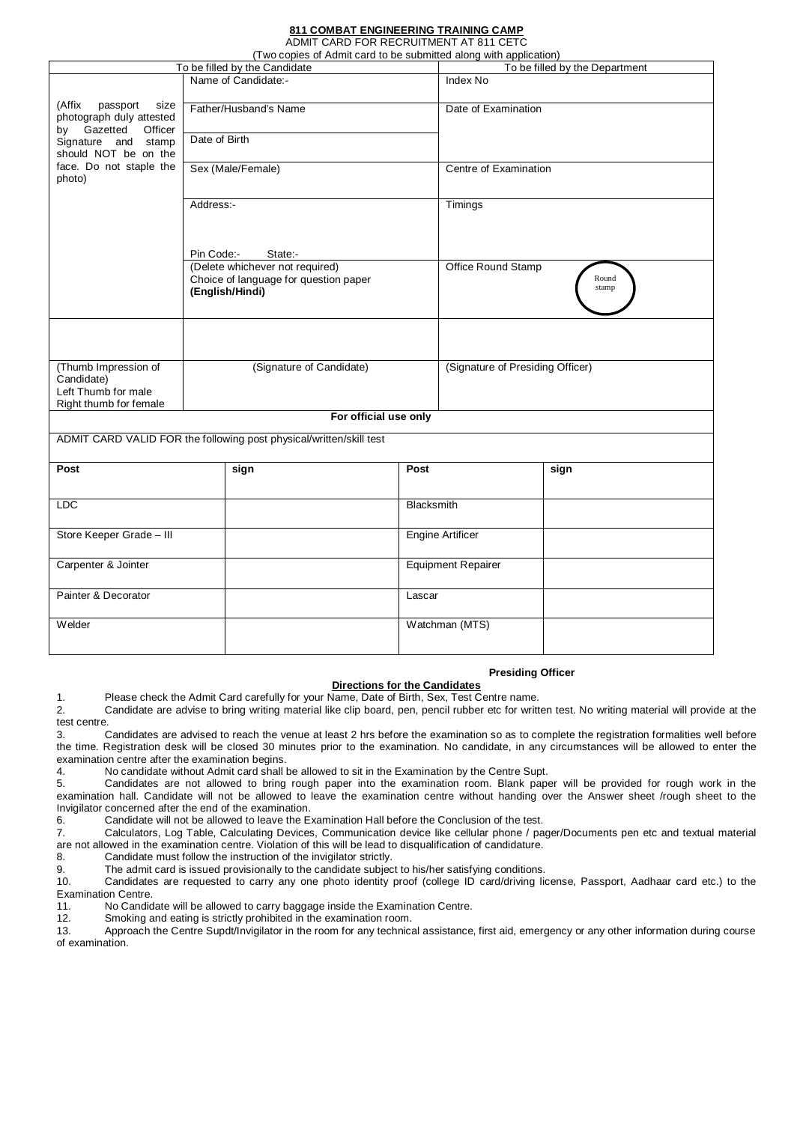#### **811 COMBAT ENGINEERING TRAINING CAMP** ADMIT CARD FOR RECRUITMENT AT 811 CETC

|  | ADIWII CAND LON NECKULIWENI AT 011 CETC                       |  |
|--|---------------------------------------------------------------|--|
|  | yo copies of Admit card to be submitted along with applicatio |  |

| (Two copies of Admit card to be submitted along with application) |               |                                                                     |            |                                  |      |  |
|-------------------------------------------------------------------|---------------|---------------------------------------------------------------------|------------|----------------------------------|------|--|
| To be filled by the Candidate                                     |               |                                                                     |            | To be filled by the Department   |      |  |
|                                                                   |               | Name of Candidate:-                                                 |            | Index No                         |      |  |
|                                                                   |               |                                                                     |            |                                  |      |  |
| (Affix<br>passport<br>size                                        |               | Father/Husband's Name                                               |            | Date of Examination              |      |  |
| photograph duly attested<br>by Gazetted<br>Officer                |               |                                                                     |            |                                  |      |  |
| Signature and stamp                                               | Date of Birth |                                                                     |            |                                  |      |  |
| should NOT be on the                                              |               |                                                                     |            |                                  |      |  |
| face. Do not staple the                                           |               | Sex (Male/Female)                                                   |            | Centre of Examination            |      |  |
| photo)                                                            |               |                                                                     |            |                                  |      |  |
|                                                                   |               |                                                                     |            |                                  |      |  |
|                                                                   | Address:-     |                                                                     |            | Timings                          |      |  |
|                                                                   |               |                                                                     |            |                                  |      |  |
|                                                                   |               |                                                                     |            |                                  |      |  |
|                                                                   | Pin Code:-    | State:-                                                             |            |                                  |      |  |
|                                                                   |               | (Delete whichever not required)                                     |            | Office Round Stamp               |      |  |
|                                                                   |               | Choice of language for question paper<br>(English/Hindi)            |            | Round<br>stamp                   |      |  |
|                                                                   |               |                                                                     |            |                                  |      |  |
|                                                                   |               |                                                                     |            |                                  |      |  |
|                                                                   |               |                                                                     |            |                                  |      |  |
|                                                                   |               |                                                                     |            |                                  |      |  |
| (Thumb Impression of                                              |               | (Signature of Candidate)                                            |            | (Signature of Presiding Officer) |      |  |
| Candidate)                                                        |               |                                                                     |            |                                  |      |  |
| Left Thumb for male                                               |               |                                                                     |            |                                  |      |  |
| Right thumb for female                                            |               |                                                                     |            |                                  |      |  |
|                                                                   |               | For official use only                                               |            |                                  |      |  |
|                                                                   |               | ADMIT CARD VALID FOR the following post physical/written/skill test |            |                                  |      |  |
|                                                                   |               |                                                                     |            |                                  |      |  |
| Post                                                              |               | sign                                                                | Post       |                                  | sign |  |
|                                                                   |               |                                                                     |            |                                  |      |  |
| <b>LDC</b>                                                        |               |                                                                     | Blacksmith |                                  |      |  |
|                                                                   |               |                                                                     |            |                                  |      |  |
| Store Keeper Grade - III                                          |               |                                                                     |            | <b>Engine Artificer</b>          |      |  |
|                                                                   |               |                                                                     |            |                                  |      |  |
| Carpenter & Jointer                                               |               |                                                                     |            |                                  |      |  |
|                                                                   |               |                                                                     |            | <b>Equipment Repairer</b>        |      |  |
| Painter & Decorator                                               |               |                                                                     | Lascar     |                                  |      |  |
|                                                                   |               |                                                                     |            |                                  |      |  |
| Welder                                                            |               |                                                                     |            | Watchman (MTS)                   |      |  |
|                                                                   |               |                                                                     |            |                                  |      |  |
|                                                                   |               |                                                                     |            |                                  |      |  |

## **Presiding Officer**

## **Directions for the Candidates**

1. Please check the Admit Card carefully for your Name, Date of Birth, Sex, Test Centre name.

2. Candidate are advise to bring writing material like clip board, pen, pencil rubber etc for written test. No writing material will provide at the test centre.<br>3.

Candidates are advised to reach the venue at least 2 hrs before the examination so as to complete the registration formalities well before the time. Registration desk will be closed 30 minutes prior to the examination. No candidate, in any circumstances will be allowed to enter the examination centre after the examination begins.<br>4. No candidate without Admit card shall

4. No candidate without Admit card shall be allowed to sit in the Examination by the Centre Supt.<br>5. Candidates are not allowed to bring rough paper into the examination room. Blank pape

5. Candidates are not allowed to bring rough paper into the examination room. Blank paper will be provided for rough work in the examination hall. Candidate will not be allowed to leave the examination centre without handing over the Answer sheet /rough sheet to the Invigilator concerned after the end of the examination.

6. Candidate will not be allowed to leave the Examination Hall before the Conclusion of the test.

7. Calculators, Log Table, Calculating Devices, Communication device like cellular phone / pager/Documents pen etc and textual material are not allowed in the examination centre. Violation of this will be lead to disqualification of candidature.

8. Candidate must follow the instruction of the invigilator strictly.<br>9. The admit card is issued provisionally to the candidate subjection

9. The admit card is issued provisionally to the candidate subject to his/her satisfying conditions.<br>10 Candidates are requested to carry any one photo identity proof (college ID card/driving lig

10. Candidates are requested to carry any one photo identity proof (college ID card/driving license, Passport, Aadhaar card etc.) to the

Examination Centre.<br>11. No Candio No Candidate will be allowed to carry baggage inside the Examination Centre.

12. Smoking and eating is strictly prohibited in the examination room.

13. Approach the Centre Supdt/Invigilator in the room for any technical assistance, first aid, emergency or any other information during course of examination.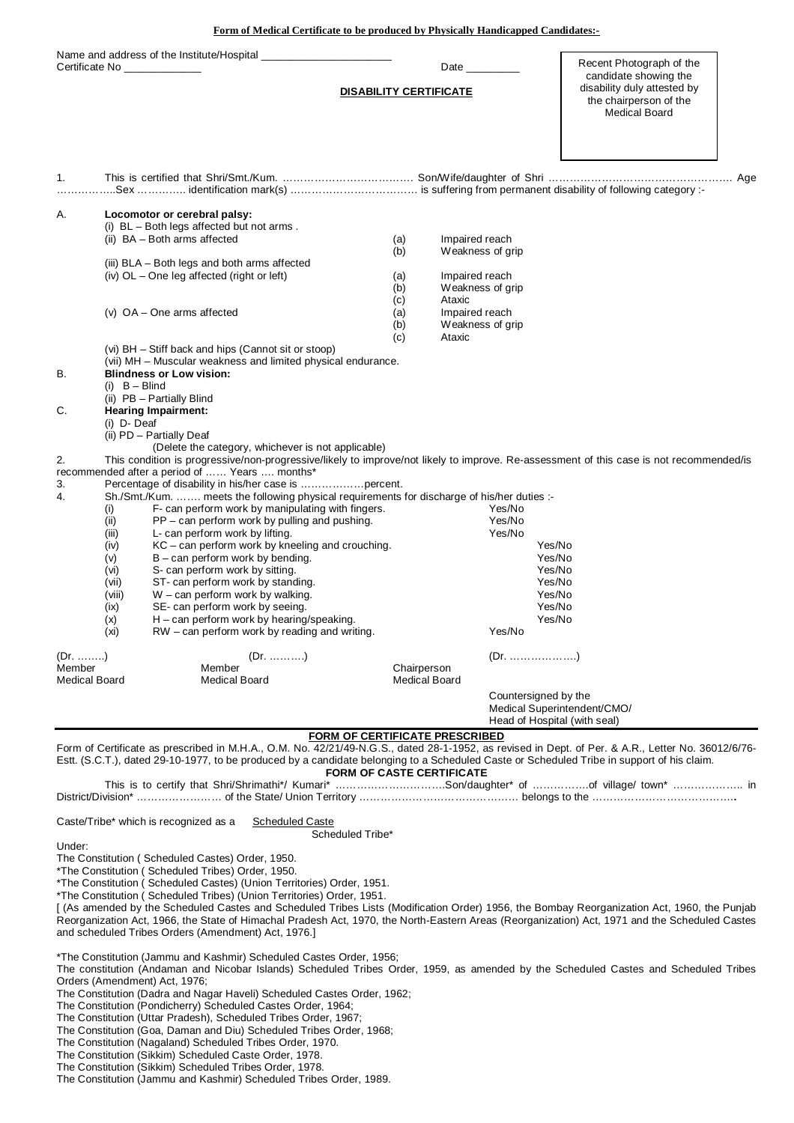**Form of Medical Certificate to be produced by Physically Handicapped Candidates:-**

| Certificate No                           | Name and address of the Institute/Hospital                                                                                                                                                                                                                                                                                                                                                                                                                                                                                                                                                                                                                                                                                                                                                                                                                                                                                 | <b>DISABILITY CERTIFICATE</b> | Date                                                               |                                                      | Recent Photograph of the<br>candidate showing the<br>disability duly attested by<br>the chairperson of the<br><b>Medical Board</b> |
|------------------------------------------|----------------------------------------------------------------------------------------------------------------------------------------------------------------------------------------------------------------------------------------------------------------------------------------------------------------------------------------------------------------------------------------------------------------------------------------------------------------------------------------------------------------------------------------------------------------------------------------------------------------------------------------------------------------------------------------------------------------------------------------------------------------------------------------------------------------------------------------------------------------------------------------------------------------------------|-------------------------------|--------------------------------------------------------------------|------------------------------------------------------|------------------------------------------------------------------------------------------------------------------------------------|
| 1.                                       |                                                                                                                                                                                                                                                                                                                                                                                                                                                                                                                                                                                                                                                                                                                                                                                                                                                                                                                            |                               |                                                                    |                                                      |                                                                                                                                    |
| Α.                                       | Locomotor or cerebral palsy:<br>(i) $BL - Both legs affected but not arms.$<br>(ii) BA - Both arms affected                                                                                                                                                                                                                                                                                                                                                                                                                                                                                                                                                                                                                                                                                                                                                                                                                | (a)<br>(b)                    | Impaired reach<br>Weakness of grip                                 |                                                      |                                                                                                                                    |
|                                          | (iii) BLA – Both legs and both arms affected<br>(iv) OL - One leg affected (right or left)                                                                                                                                                                                                                                                                                                                                                                                                                                                                                                                                                                                                                                                                                                                                                                                                                                 | (a)<br>(b)<br>(c)             | Impaired reach<br>Weakness of grip<br>Ataxic                       |                                                      |                                                                                                                                    |
|                                          | $(v)$ OA – One arms affected                                                                                                                                                                                                                                                                                                                                                                                                                                                                                                                                                                                                                                                                                                                                                                                                                                                                                               | (a)<br>(b)<br>(c)             | Impaired reach<br>Weakness of grip<br>Ataxic                       |                                                      |                                                                                                                                    |
| В.<br>C.                                 | (vi) BH - Stiff back and hips (Cannot sit or stoop)<br>(vii) MH - Muscular weakness and limited physical endurance.<br><b>Blindness or Low vision:</b><br>$(i)$ B - Blind<br>(ii) PB - Partially Blind<br><b>Hearing Impairment:</b><br>(i) D- Deaf<br>(ii) PD - Partially Deaf<br>(Delete the category, whichever is not applicable)                                                                                                                                                                                                                                                                                                                                                                                                                                                                                                                                                                                      |                               |                                                                    |                                                      |                                                                                                                                    |
| 2.<br>3.<br>4.                           | This condition is progressive/non-progressive/likely to improve/not likely to improve. Re-assessment of this case is not recommended/is<br>recommended after a period of  Years  months*<br>Percentage of disability in his/her case is percent.<br>Sh./Smt./Kum.  meets the following physical requirements for discharge of his/her duties :-<br>(i)<br>F- can perform work by manipulating with fingers.<br>(ii)<br>PP - can perform work by pulling and pushing.<br>L- can perform work by lifting.<br>(iii)<br>KC - can perform work by kneeling and crouching.<br>(iv)<br>$B - can perform work by bending.$<br>(v)<br>S- can perform work by sitting.<br>(vi)<br>ST- can perform work by standing.<br>(vii)<br>W - can perform work by walking.<br>(viii)<br>SE- can perform work by seeing.<br>(ix)<br>$H$ – can perform work by hearing/speaking.<br>(x)<br>(xi)<br>RW – can perform work by reading and writing. |                               |                                                                    | Yes/No<br>Yes/No<br>Yes/No<br>Yes/No                 | Yes/No<br>Yes/No<br>Yes/No<br>Yes/No<br>Yes/No<br>Yes/No<br>Yes/No                                                                 |
| (Dr. )<br>Member<br><b>Medical Board</b> | $(Dr.$ )<br>Member<br><b>Medical Board</b>                                                                                                                                                                                                                                                                                                                                                                                                                                                                                                                                                                                                                                                                                                                                                                                                                                                                                 | Chairperson                   | <b>Medical Board</b>                                               |                                                      |                                                                                                                                    |
|                                          |                                                                                                                                                                                                                                                                                                                                                                                                                                                                                                                                                                                                                                                                                                                                                                                                                                                                                                                            |                               |                                                                    | Countersigned by the<br>Head of Hospital (with seal) | Medical Superintendent/CMO/                                                                                                        |
|                                          | Form of Certificate as prescribed in M.H.A., O.M. No. 42/21/49-N.G.S., dated 28-1-1952, as revised in Dept. of Per. & A.R., Letter No. 36012/6/76-<br>Estt. (S.C.T.), dated 29-10-1977, to be produced by a candidate belonging to a Scheduled Caste or Scheduled Tribe in support of his claim.                                                                                                                                                                                                                                                                                                                                                                                                                                                                                                                                                                                                                           |                               | FORM OF CERTIFICATE PRESCRIBED<br><b>FORM OF CASTE CERTIFICATE</b> |                                                      |                                                                                                                                    |
|                                          | This is to certify that Shri/Shrimathi*/ Kumari* Son/daughter* of of village/ town*  in                                                                                                                                                                                                                                                                                                                                                                                                                                                                                                                                                                                                                                                                                                                                                                                                                                    |                               |                                                                    |                                                      |                                                                                                                                    |
| Under:                                   | Caste/Tribe* which is recognized as a<br>Scheduled Caste<br>Scheduled Tribe*<br>The Constitution (Scheduled Castes) Order, 1950.<br>*The Constitution (Scheduled Tribes) Order, 1950.<br>*The Constitution (Scheduled Castes) (Union Territories) Order, 1951.<br>*The Constitution (Scheduled Tribes) (Union Territories) Order, 1951.<br>[ (As amended by the Scheduled Castes and Scheduled Tribes Lists (Modification Order) 1956, the Bombay Reorganization Act, 1960, the Punjab<br>Reorganization Act, 1966, the State of Himachal Pradesh Act, 1970, the North-Eastern Areas (Reorganization) Act, 1971 and the Scheduled Castes<br>and scheduled Tribes Orders (Amendment) Act, 1976.]                                                                                                                                                                                                                            |                               |                                                                    |                                                      |                                                                                                                                    |
|                                          | *The Constitution (Jammu and Kashmir) Scheduled Castes Order, 1956;<br>The constitution (Andaman and Nicobar Islands) Scheduled Tribes Order, 1959, as amended by the Scheduled Castes and Scheduled Tribes<br>Orders (Amendment) Act, 1976;<br>The Constitution (Dadra and Nagar Haveli) Scheduled Castes Order, 1962;<br>The Constitution (Pondicherry) Scheduled Castes Order, 1964;<br>The Constitution (Uttar Pradesh), Scheduled Tribes Order, 1967;<br>The Constitution (Goa, Daman and Diu) Scheduled Tribes Order, 1968;<br>The Constitution (Nagaland) Scheduled Tribes Order, 1970.<br>The Constitution (Sikkim) Scheduled Caste Order, 1978.<br>The Constitution (Sikkim) Scheduled Tribes Order, 1978.                                                                                                                                                                                                        |                               |                                                                    |                                                      |                                                                                                                                    |

The Constitution (Jammu and Kashmir) Scheduled Tribes Order, 1989.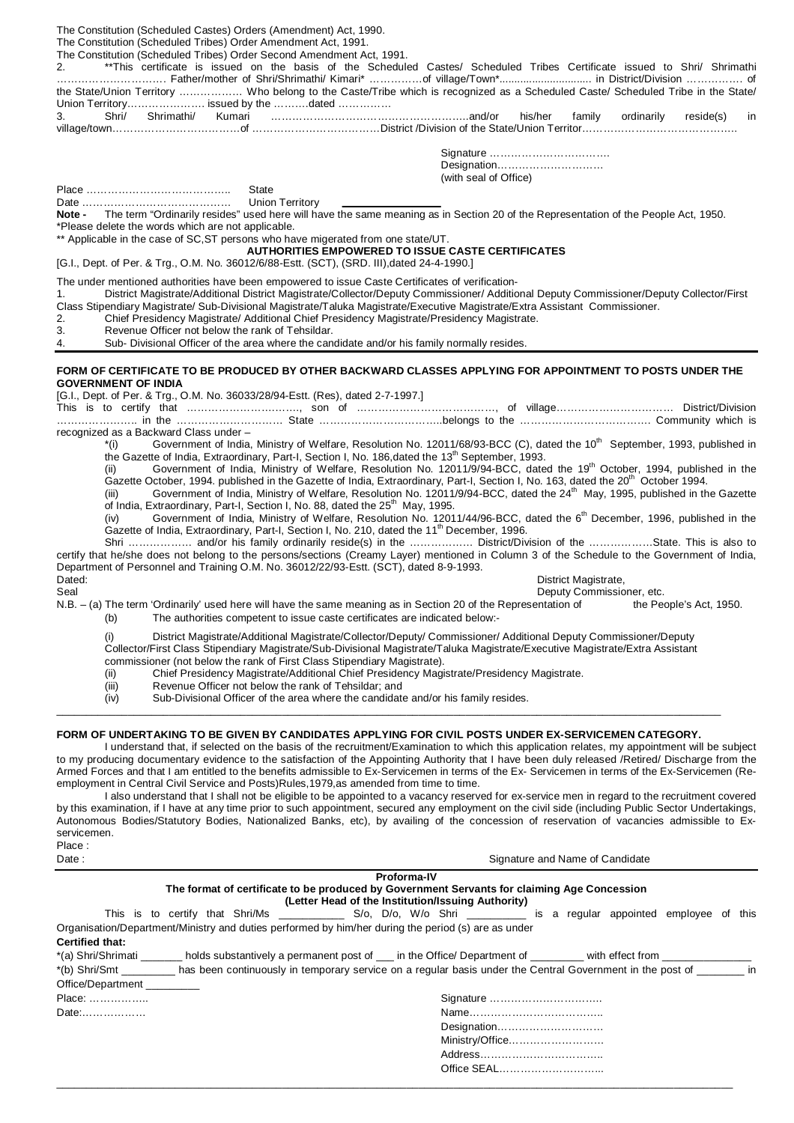The Constitution (Scheduled Castes) Orders (Amendment) Act, 1990. The Constitution (Scheduled Tribes) Order Amendment Act, 1991. The Constitution (Scheduled Tribes) Order Second Amendment Act, 1991.<br>2. **\*\*\*This** certificate is issued on the basis of the Schedule 2. \*\*This certificate is issued on the basis of the Scheduled Castes/ Scheduled Tribes Certificate issued to Shri/ Shrimathi …………………………. Father/mother of Shri/Shrimathi/ Kimari\* ……………of village/Town\*............................... in District/Division ……………. of the State/Union Territory ……………… Who belong to the Caste/Tribe which is recognized as a Scheduled Caste/ Scheduled Tribe in the State/ Union Territory……………………… issued by the ………..dated ………………<br>3 Shri/ Shrimathi/ Kumari 3. Shri/ Shrimathi/ Kumari ………………………………………………..and/or his/her family ordinarily reside(s) in village/town………………………………of ………………………………District /Division of the State/Union Territor…………………………………….. Signature ……………………………. Designation………………………… (with seal of Office) Place ………………………………….. State Date …………………………………… Union Territory **Note -** The term "Ordinarily resides" used here will have the same meaning as in Section 20 of the Representation of the People Act, 1950. \*Please delete the words which are not applicable. \*\* Applicable in the case of SC, ST persons who have migerated from one state/UT. **AUTHORITIES EMPOWERED TO ISSUE CASTE CERTIFICATES** [G.I., Dept. of Per. & Trg., O.M. No. 36012/6/88-Estt. (SCT), (SRD. III),dated 24-4-1990.] The under mentioned authorities have been empowered to issue Caste Certificates of verification-1. District Magistrate/Additional District Magistrate/Collector/Deputy Commissioner/ Additional Deputy Commissioner/Deputy Collector/First Class Stipendiary Magistrate/ Sub-Divisional Magistrate/Taluka Magistrate/Executive Magistrate/Extra Assistant Commissioner. 2. Chief Presidency Magistrate/ Additional Chief Presidency Magistrate/Presidency Magistrate.<br>3. Revenue Officer not below the rank of Tehsildar. Revenue Officer not below the rank of Tehsildar. 4. Sub- Divisional Officer of the area where the candidate and/or his family normally resides. **FORM OF CERTIFICATE TO BE PRODUCED BY OTHER BACKWARD CLASSES APPLYING FOR APPOINTMENT TO POSTS UNDER THE GOVERNMENT OF INDIA** [G.I., Dept. of Per. & Trg., O.M. No. 36033/28/94-Estt. (Res), dated 2-7-1997.] This is to certify that …………………….……., son of …………………………………, of village…………………………… District/Division ………………….. in the ………………………… State ……………………………..belongs to the ………………………………. Community which is recognized as a Backward Class under –<br>
<sup>\*</sup>(i) Government of India, Government of India, Ministry of Welfare, Resolution No. 12011/68/93-BCC (C), dated the 10<sup>th</sup> September, 1993, published in the Gazette of India, Extraordinary, Part-I, Section I, No. 186,dated the 13<sup>th</sup> September, 1993. (ii) Government of India, Ministry of Welfare, Resolution No. 12011/9/94-BCC, dated the 19<sup>th</sup> October, 1994, published in the Gazette October, 1994. published in the Gazette of India, Extraordinary, Part-I, Section I, No. 163, dated the 20<sup>th</sup> October 1994. (iii) Government of India, Ministry of Welfare, Resolution No. 12011/9/94-BCC, dated the 24<sup>th</sup> May, 1995, published in the Gazette of India, Extraordinary, Part-I, Section I, No. 88, dated the 25<sup>th</sup> May, 1995. (iv) Government of India, Ministry of Welfare, Resolution No. 12011/44/96-BCC, dated the 6<sup>th</sup> December, 1996, published in the Gazette of India, Extraordinary, Part-I, Section I, No. 210, dated the 11<sup>th</sup> December, 1996. Shri ……………… and/or his family ordinarily reside(s) in the ……………… District/Division of the ………………State. This is also to certify that he/she does not belong to the persons/sections (Creamy Layer) mentioned in Column 3 of the Schedule to the Government of India, Department of Personnel and Training O.M. No. 36012/22/93-Estt. (SCT), dated 8-9-1993. Dated: District Magistrate, 2001 2012 2012 2013 2014 2014 2015 2016 2017 2018 2017 2018 2019 2019 2017 2018 20<br>Deputy Commission Deputy Commission Deputy Commissioner, etc. N.B. – (a) The term 'Ordinarily' used here will have the same meaning as in Section 20 of the Representation of the People's Act, 1950. (b) The authorities competent to issue caste certificates are indicated below:- (i) District Magistrate/Additional Magistrate/Collector/Deputy/ Commissioner/ Additional Deputy Commissioner/Deputy Collector/First Class Stipendiary Magistrate/Sub-Divisional Magistrate/Taluka Magistrate/Executive Magistrate/Extra Assistant commissioner (not below the rank of First Class Stipendiary Magistrate). (ii) Chief Presidency Magistrate/Additional Chief Presidency Magistrate/Presidency Magistrate. (iii) Revenue Officer not below the rank of Tehsildar; and (iv) Sub-Divisional Officer of the area where the candidate and/or his family resides. \_\_\_\_\_\_\_\_\_\_\_\_\_\_\_\_\_\_\_\_\_\_\_\_\_\_\_\_\_\_\_\_\_\_\_\_\_\_\_\_\_\_\_\_\_\_\_\_\_\_\_\_\_\_\_\_\_\_\_\_\_\_\_\_\_\_\_\_\_\_\_\_\_\_\_\_\_\_\_\_\_\_\_\_\_\_\_\_\_\_\_\_\_\_\_\_\_\_\_\_\_\_\_\_\_\_\_\_\_\_\_\_ **FORM OF UNDERTAKING TO BE GIVEN BY CANDIDATES APPLYING FOR CIVIL POSTS UNDER EX-SERVICEMEN CATEGORY.**  I understand that, if selected on the basis of the recruitment/Examination to which this application relates, my appointment will be subject to my producing documentary evidence to the satisfaction of the Appointing Authority that I have been duly released /Retired/ Discharge from the Armed Forces and that I am entitled to the benefits admissible to Ex-Servicemen in terms of the Ex- Servicemen in terms of the Ex-Servicemen (Reemployment in Central Civil Service and Posts)Rules,1979,as amended from time to time. I also understand that I shall not be eligible to be appointed to a vacancy reserved for ex-service men in regard to the recruitment covered by this examination, if I have at any time prior to such appointment, secured any employment on the civil side (including Public Sector Undertakings, Autonomous Bodies/Statutory Bodies, Nationalized Banks, etc), by availing of the concession of reservation of vacancies admissible to Exservicemen.

| Place |                                 |
|-------|---------------------------------|
| Date: | Signature and Name of Candidate |

Address…………………………….. Office SEAL………………………...

**Proforma-IV The format of certificate to be produced by Government Servants for claiming Age Concession**

**(Letter Head of the Institution/Issuing Authority)** This is to certify that Shri/Ms \_\_\_\_\_\_\_\_\_\_\_\_ S/o, D/o, W/o Shri \_\_\_\_\_\_\_\_\_ is a regular appointed employee of this

Organisation/Department/Ministry and duties performed by him/her during the period (s) are as under **Certified that:**

| *(a) Shri/Shrimati | holds substantively a permanent post of ____ in the Office/ Department of __________ with effect from                                 |  |
|--------------------|---------------------------------------------------------------------------------------------------------------------------------------|--|
|                    | has been continuously in temporary service on a regular basis under the Central Government in the post of<br>$\overline{\mathsf{in}}$ |  |
| Office/Department  |                                                                                                                                       |  |
| Place:             | Signature                                                                                                                             |  |
| Date:              |                                                                                                                                       |  |
|                    | Designation                                                                                                                           |  |
|                    | Ministry/Office                                                                                                                       |  |

\_\_\_\_\_\_\_\_\_\_\_\_\_\_\_\_\_\_\_\_\_\_\_\_\_\_\_\_\_\_\_\_\_\_\_\_\_\_\_\_\_\_\_\_\_\_\_\_\_\_\_\_\_\_\_\_\_\_\_\_\_\_\_\_\_\_\_\_\_\_\_\_\_\_\_\_\_\_\_\_\_\_\_\_\_\_\_\_\_\_\_\_\_\_\_\_\_\_\_\_\_\_\_\_\_\_\_\_\_\_\_\_\_\_